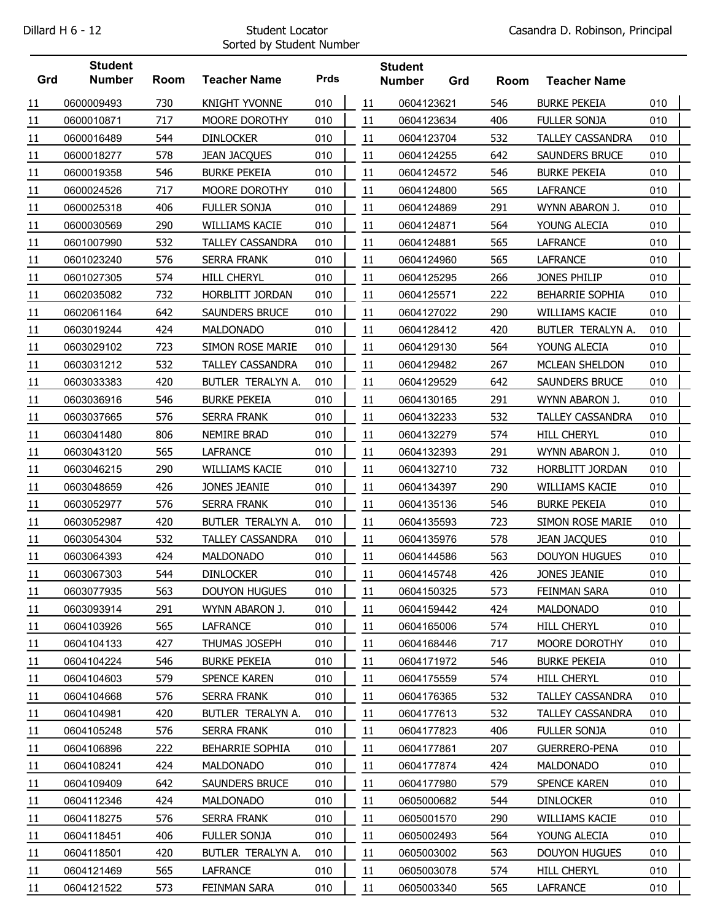## Sorted by Student Number

|     | <b>Student</b> |             |                         |             |    | <b>Student</b> |     |      |                         |     |  |
|-----|----------------|-------------|-------------------------|-------------|----|----------------|-----|------|-------------------------|-----|--|
| Grd | <b>Number</b>  | <b>Room</b> | <b>Teacher Name</b>     | <b>Prds</b> |    | <b>Number</b>  | Grd | Room | <b>Teacher Name</b>     |     |  |
| 11  | 0600009493     | 730         | <b>KNIGHT YVONNE</b>    | 010         | 11 | 0604123621     |     | 546  | <b>BURKE PEKEIA</b>     | 010 |  |
| 11  | 0600010871     | 717         | MOORE DOROTHY           | 010         | 11 | 0604123634     |     | 406  | <b>FULLER SONJA</b>     | 010 |  |
| 11  | 0600016489     | 544         | <b>DINLOCKER</b>        | 010         | 11 | 0604123704     |     | 532  | TALLEY CASSANDRA        | 010 |  |
| 11  | 0600018277     | 578         | <b>JEAN JACQUES</b>     | 010         | 11 | 0604124255     |     | 642  | SAUNDERS BRUCE          | 010 |  |
| 11  | 0600019358     | 546         | <b>BURKE PEKEIA</b>     | 010         | 11 | 0604124572     |     | 546  | <b>BURKE PEKEIA</b>     | 010 |  |
| 11  | 0600024526     | 717         | MOORE DOROTHY           | 010         | 11 | 0604124800     |     | 565  | <b>LAFRANCE</b>         | 010 |  |
| 11  | 0600025318     | 406         | <b>FULLER SONJA</b>     | 010         | 11 | 0604124869     |     | 291  | WYNN ABARON J.          | 010 |  |
| 11  | 0600030569     | 290         | WILLIAMS KACIE          | 010         | 11 | 0604124871     |     | 564  | YOUNG ALECIA            | 010 |  |
| 11  | 0601007990     | 532         | <b>TALLEY CASSANDRA</b> | 010         | 11 | 0604124881     |     | 565  | <b>LAFRANCE</b>         | 010 |  |
| 11  | 0601023240     | 576         | <b>SERRA FRANK</b>      | 010         | 11 | 0604124960     |     | 565  | <b>LAFRANCE</b>         | 010 |  |
| 11  | 0601027305     | 574         | <b>HILL CHERYL</b>      | 010         | 11 | 0604125295     |     | 266  | JONES PHILIP            | 010 |  |
| 11  | 0602035082     | 732         | HORBLITT JORDAN         | 010         | 11 | 0604125571     |     | 222  | <b>BEHARRIE SOPHIA</b>  | 010 |  |
| 11  | 0602061164     | 642         | SAUNDERS BRUCE          | 010         | 11 | 0604127022     |     | 290  | WILLIAMS KACIE          | 010 |  |
| 11  | 0603019244     | 424         | <b>MALDONADO</b>        | 010         | 11 | 0604128412     |     | 420  | BUTLER TERALYN A.       | 010 |  |
| 11  | 0603029102     | 723         | SIMON ROSE MARIE        | 010         | 11 | 0604129130     |     | 564  | YOUNG ALECIA            | 010 |  |
| 11  | 0603031212     | 532         | <b>TALLEY CASSANDRA</b> | 010         | 11 | 0604129482     |     | 267  | MCLEAN SHELDON          | 010 |  |
| 11  | 0603033383     | 420         | BUTLER TERALYN A.       | 010         | 11 | 0604129529     |     | 642  | SAUNDERS BRUCE          | 010 |  |
| 11  | 0603036916     | 546         | <b>BURKE PEKEIA</b>     | 010         | 11 | 0604130165     |     | 291  | WYNN ABARON J.          | 010 |  |
| 11  | 0603037665     | 576         | <b>SERRA FRANK</b>      | 010         | 11 | 0604132233     |     | 532  | TALLEY CASSANDRA        | 010 |  |
| 11  | 0603041480     | 806         | NEMIRE BRAD             | 010         | 11 | 0604132279     |     | 574  | <b>HILL CHERYL</b>      | 010 |  |
| 11  | 0603043120     | 565         | <b>LAFRANCE</b>         | 010         | 11 | 0604132393     |     | 291  | WYNN ABARON J.          | 010 |  |
| 11  | 0603046215     | 290         | WILLIAMS KACIE          | 010         | 11 | 0604132710     |     | 732  | HORBLITT JORDAN         | 010 |  |
| 11  | 0603048659     | 426         | JONES JEANIE            | 010         | 11 | 0604134397     |     | 290  | WILLIAMS KACIE          | 010 |  |
| 11  | 0603052977     | 576         | <b>SERRA FRANK</b>      | 010         | 11 | 0604135136     |     | 546  | <b>BURKE PEKEIA</b>     | 010 |  |
| 11  | 0603052987     | 420         | BUTLER TERALYN A.       | 010         | 11 | 0604135593     |     | 723  | SIMON ROSE MARIE        | 010 |  |
| 11  | 0603054304     | 532         | <b>TALLEY CASSANDRA</b> | 010         | 11 | 0604135976     |     | 578  | <b>JEAN JACQUES</b>     | 010 |  |
| 11  | 0603064393     | 424         | <b>MALDONADO</b>        | 010         | 11 | 0604144586     |     | 563  | <b>DOUYON HUGUES</b>    | 010 |  |
| 11  | 0603067303     | 544         | <b>DINLOCKER</b>        | 010         | 11 | 0604145748     |     | 426  | <b>JONES JEANIE</b>     | 010 |  |
| 11  | 0603077935     | 563         | <b>DOUYON HUGUES</b>    | 010         | 11 | 0604150325     |     | 573  | FEINMAN SARA            | 010 |  |
| 11  | 0603093914     | 291         | WYNN ABARON J.          | 010         | 11 | 0604159442     |     | 424  | <b>MALDONADO</b>        | 010 |  |
| 11  | 0604103926     | 565         | <b>LAFRANCE</b>         | 010         | 11 | 0604165006     |     | 574  | <b>HILL CHERYL</b>      | 010 |  |
| 11  | 0604104133     | 427         | THUMAS JOSEPH           | 010         | 11 | 0604168446     |     | 717  | MOORE DOROTHY           | 010 |  |
| 11  | 0604104224     | 546         | <b>BURKE PEKEIA</b>     | 010         | 11 | 0604171972     |     | 546  | <b>BURKE PEKEIA</b>     | 010 |  |
| 11  | 0604104603     | 579         | SPENCE KAREN            | 010         | 11 | 0604175559     |     | 574  | <b>HILL CHERYL</b>      | 010 |  |
| 11  | 0604104668     | 576         | SERRA FRANK             | 010         | 11 | 0604176365     |     | 532  | TALLEY CASSANDRA        | 010 |  |
| 11  | 0604104981     | 420         | BUTLER TERALYN A.       | 010         | 11 | 0604177613     |     | 532  | <b>TALLEY CASSANDRA</b> | 010 |  |
| 11  | 0604105248     | 576         | SERRA FRANK             | 010         | 11 | 0604177823     |     | 406  | FULLER SONJA            | 010 |  |
| 11  | 0604106896     | 222         | BEHARRIE SOPHIA         | 010         | 11 | 0604177861     |     | 207  | <b>GUERRERO-PENA</b>    | 010 |  |
| 11  | 0604108241     | 424         | <b>MALDONADO</b>        | 010         | 11 | 0604177874     |     | 424  | <b>MALDONADO</b>        | 010 |  |
| 11  | 0604109409     | 642         | SAUNDERS BRUCE          | 010         | 11 | 0604177980     |     | 579  | SPENCE KAREN            | 010 |  |
| 11  | 0604112346     | 424         | <b>MALDONADO</b>        | 010         | 11 | 0605000682     |     | 544  | <b>DINLOCKER</b>        | 010 |  |
| 11  | 0604118275     | 576         | SERRA FRANK             | 010         | 11 | 0605001570     |     | 290  | WILLIAMS KACIE          | 010 |  |
| 11  | 0604118451     | 406         | FULLER SONJA            | 010         | 11 | 0605002493     |     | 564  | YOUNG ALECIA            | 010 |  |
| 11  | 0604118501     | 420         | BUTLER TERALYN A.       | 010         | 11 | 0605003002     |     | 563  | <b>DOUYON HUGUES</b>    | 010 |  |
| 11  | 0604121469     | 565         | LAFRANCE                | 010         | 11 | 0605003078     |     | 574  | <b>HILL CHERYL</b>      | 010 |  |
| 11  | 0604121522     | 573         | FEINMAN SARA            | 010         | 11 | 0605003340     |     | 565  | <b>LAFRANCE</b>         | 010 |  |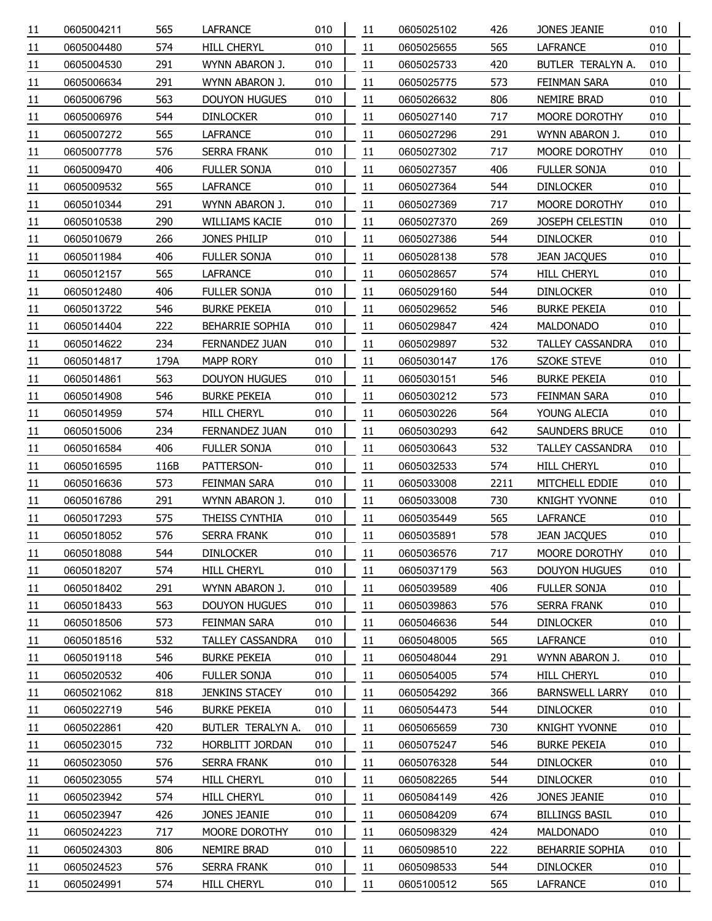| 11 | 0605004211               | 565        | <b>LAFRANCE</b>                          | 010        | 11       | 0605025102 | 426        | JONES JEANIE                        | 010        |
|----|--------------------------|------------|------------------------------------------|------------|----------|------------|------------|-------------------------------------|------------|
| 11 | 0605004480               | 574        | <b>HILL CHERYL</b>                       | 010        | 11       | 0605025655 | 565        | <b>LAFRANCE</b>                     | 010        |
| 11 | 0605004530               | 291        | WYNN ABARON J.                           | 010        | 11       | 0605025733 | 420        | BUTLER TERALYN A.                   | 010        |
| 11 | 0605006634               | 291        | WYNN ABARON J.                           | 010        | 11       | 0605025775 | 573        | FEINMAN SARA                        | 010        |
| 11 | 0605006796               | 563        | <b>DOUYON HUGUES</b>                     | 010        | 11       | 0605026632 | 806        | NEMIRE BRAD                         | 010        |
| 11 | 0605006976               | 544        | <b>DINLOCKER</b>                         | 010        | 11       | 0605027140 | 717        | MOORE DOROTHY                       | 010        |
| 11 | 0605007272               | 565        | <b>LAFRANCE</b>                          | 010        | 11       | 0605027296 | 291        | WYNN ABARON J.                      | 010        |
| 11 | 0605007778               | 576        | <b>SERRA FRANK</b>                       | 010        | 11       | 0605027302 | 717        | MOORE DOROTHY                       | 010        |
| 11 | 0605009470               | 406        | FULLER SONJA                             | 010        | 11       | 0605027357 | 406        | FULLER SONJA                        | 010        |
| 11 | 0605009532               | 565        | <b>LAFRANCE</b>                          | 010        | 11       | 0605027364 | 544        | <b>DINLOCKER</b>                    | 010        |
| 11 | 0605010344               | 291        | WYNN ABARON J.                           | 010        | 11       | 0605027369 | 717        | MOORE DOROTHY                       | 010        |
| 11 | 0605010538               | 290        | <b>WILLIAMS KACIE</b>                    | 010        | 11       | 0605027370 | 269        | JOSEPH CELESTIN                     | 010        |
| 11 | 0605010679               | 266        | JONES PHILIP                             | 010        | 11       | 0605027386 | 544        | <b>DINLOCKER</b>                    | 010        |
| 11 | 0605011984               | 406        | <b>FULLER SONJA</b>                      | 010        | 11       | 0605028138 | 578        | <b>JEAN JACQUES</b>                 | 010        |
| 11 | 0605012157               | 565        | LAFRANCE                                 | 010        | 11       | 0605028657 | 574        | <b>HILL CHERYL</b>                  | 010        |
| 11 | 0605012480               | 406        | <b>FULLER SONJA</b>                      | 010        | 11       | 0605029160 | 544        | <b>DINLOCKER</b>                    | 010        |
| 11 | 0605013722               | 546        | <b>BURKE PEKEIA</b>                      | 010        | 11       | 0605029652 | 546        | <b>BURKE PEKEIA</b>                 | 010        |
| 11 | 0605014404               | 222        | BEHARRIE SOPHIA                          | 010        | 11       | 0605029847 | 424        | <b>MALDONADO</b>                    | 010        |
| 11 | 0605014622               | 234        | FERNANDEZ JUAN                           | 010        | 11       | 0605029897 | 532        | TALLEY CASSANDRA                    | 010        |
| 11 | 0605014817               | 179A       | <b>MAPP RORY</b>                         | 010        | 11       | 0605030147 | 176        | <b>SZOKE STEVE</b>                  | 010        |
| 11 | 0605014861               | 563        | <b>DOUYON HUGUES</b>                     | 010        | 11       | 0605030151 | 546        | <b>BURKE PEKEIA</b>                 | 010        |
| 11 | 0605014908               | 546        | <b>BURKE PEKEIA</b>                      | 010        | 11       | 0605030212 | 573        | FEINMAN SARA                        | 010        |
| 11 | 0605014959               | 574        | <b>HILL CHERYL</b>                       | 010        | 11       | 0605030226 | 564        | YOUNG ALECIA                        | 010        |
| 11 | 0605015006               | 234        | FERNANDEZ JUAN                           | 010        | 11       | 0605030293 | 642        | SAUNDERS BRUCE                      | 010        |
| 11 | 0605016584               | 406        | FULLER SONJA                             | 010        | 11       | 0605030643 | 532        | TALLEY CASSANDRA                    | 010        |
| 11 | 0605016595               | 116B       | PATTERSON-                               | 010        | 11       | 0605032533 | 574        | <b>HILL CHERYL</b>                  | 010        |
| 11 | 0605016636               | 573        | FEINMAN SARA                             | 010        | 11       | 0605033008 | 2211       | MITCHELL EDDIE                      | 010        |
| 11 | 0605016786               | 291        | WYNN ABARON J.                           | 010        | 11       | 0605033008 | 730        | <b>KNIGHT YVONNE</b>                | 010        |
| 11 | 0605017293               | 575        | THEISS CYNTHIA                           | 010        | 11       | 0605035449 | 565        | <b>LAFRANCE</b>                     | 010        |
| 11 | 0605018052               | 576        | <b>SERRA FRANK</b>                       | 010        | 11       | 0605035891 | 578        | <b>JEAN JACQUES</b>                 | 010        |
| 11 | 0605018088               | 544        | <b>DINLOCKER</b>                         | 010        | 11       | 0605036576 | 717        | MOORE DOROTHY                       | 010        |
| 11 | 0605018207               | 574        | <b>HILL CHERYL</b>                       | 010        | 11       | 0605037179 | 563        | <b>DOUYON HUGUES</b>                | 010        |
| 11 | 0605018402               | 291        | WYNN ABARON J.                           | 010        | 11       | 0605039589 | 406        | FULLER SONJA                        | 010        |
| 11 | 0605018433               | 563        | <b>DOUYON HUGUES</b>                     | 010        | 11       | 0605039863 | 576        | <b>SERRA FRANK</b>                  | 010        |
| 11 | 0605018506               | 573        | FEINMAN SARA                             | 010        | 11       | 0605046636 | 544        | <b>DINLOCKER</b>                    | 010        |
| 11 | 0605018516               | 532        | <b>TALLEY CASSANDRA</b>                  | 010        | 11       | 0605048005 | 565        | <b>LAFRANCE</b>                     | 010        |
| 11 | 0605019118               | 546        | <b>BURKE PEKEIA</b>                      | 010        | 11       | 0605048044 | 291        | WYNN ABARON J.                      | 010        |
| 11 | 0605020532               | 406        | <b>FULLER SONJA</b>                      | 010        | 11       | 0605054005 | 574        | <b>HILL CHERYL</b>                  | 010        |
| 11 | 0605021062               | 818        | <b>JENKINS STACEY</b>                    | 010        | 11       | 0605054292 | 366        | <b>BARNSWELL LARRY</b>              | 010        |
| 11 | 0605022719               | 546        | <b>BURKE PEKEIA</b>                      | 010        | 11       | 0605054473 | 544        | <b>DINLOCKER</b>                    | 010        |
| 11 | 0605022861               | 420        | BUTLER TERALYN A.                        | 010        | 11       | 0605065659 | 730        | <b>KNIGHT YVONNE</b>                | 010        |
| 11 | 0605023015               | 732        | HORBLITT JORDAN                          | 010        | 11       | 0605075247 | 546        | <b>BURKE PEKEIA</b>                 | 010        |
| 11 | 0605023050               | 576        | <b>SERRA FRANK</b>                       | 010        | 11       | 0605076328 | 544        | <b>DINLOCKER</b>                    | 010        |
|    | 0605023055               | 574        | <b>HILL CHERYL</b>                       | 010        | 11       | 0605082265 | 544        | <b>DINLOCKER</b>                    | 010        |
| 11 |                          | 574        | <b>HILL CHERYL</b>                       | 010        | 11       |            | 426        |                                     | 010        |
| 11 | 0605023942               |            |                                          |            |          | 0605084149 |            | JONES JEANIE                        |            |
| 11 | 0605023947               | 426<br>717 | JONES JEANIE                             | 010        | 11       | 0605084209 | 674<br>424 | <b>BILLINGS BASIL</b>               | 010<br>010 |
| 11 | 0605024223               | 806        | MOORE DOROTHY<br>NEMIRE BRAD             | 010<br>010 | 11       | 0605098329 | 222        | MALDONADO<br>BEHARRIE SOPHIA        | 010        |
| 11 | 0605024303               | 576        |                                          | 010        | 11       | 0605098510 | 544        |                                     | 010        |
| 11 | 0605024523<br>0605024991 | 574        | <b>SERRA FRANK</b><br><b>HILL CHERYL</b> | 010        | 11<br>11 | 0605098533 | 565        | <b>DINLOCKER</b><br><b>LAFRANCE</b> | 010        |
| 11 |                          |            |                                          |            |          | 0605100512 |            |                                     |            |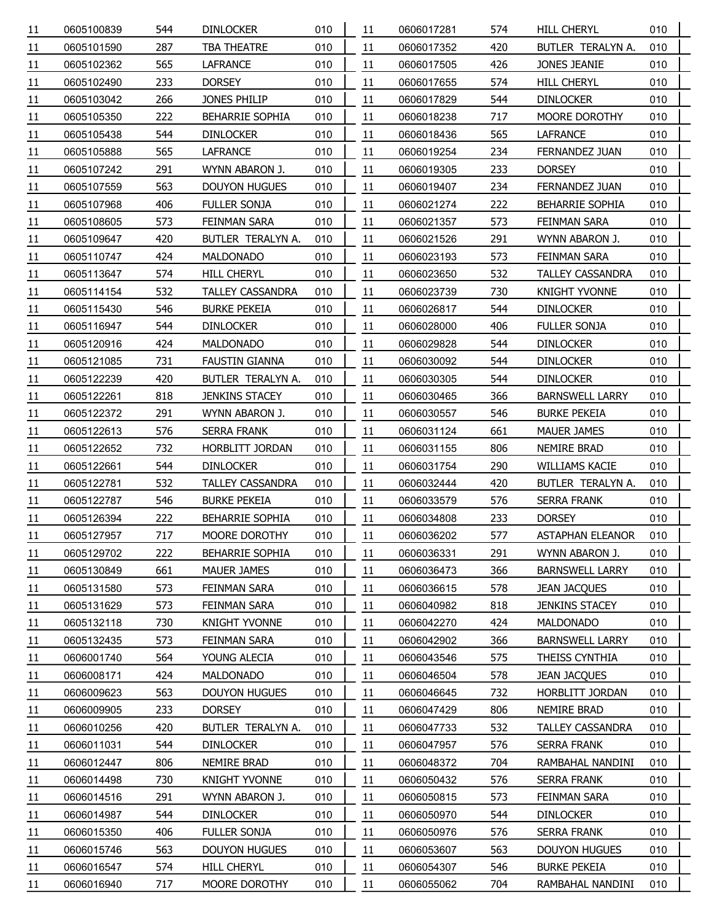| 11              | 0605100839 | 544 | <b>DINLOCKER</b>        | 010 | 11 | 0606017281 | 574 | <b>HILL CHERYL</b>      | 010 |  |
|-----------------|------------|-----|-------------------------|-----|----|------------|-----|-------------------------|-----|--|
| 11              | 0605101590 | 287 | TBA THEATRE             | 010 | 11 | 0606017352 | 420 | BUTLER TERALYN A.       | 010 |  |
| 11              | 0605102362 | 565 | LAFRANCE                | 010 | 11 | 0606017505 | 426 | JONES JEANIE            | 010 |  |
| 11              | 0605102490 | 233 | <b>DORSEY</b>           | 010 | 11 | 0606017655 | 574 | <b>HILL CHERYL</b>      | 010 |  |
| 11              | 0605103042 | 266 | JONES PHILIP            | 010 | 11 | 0606017829 | 544 | <b>DINLOCKER</b>        | 010 |  |
| 11              | 0605105350 | 222 | BEHARRIE SOPHIA         | 010 | 11 | 0606018238 | 717 | MOORE DOROTHY           | 010 |  |
| 11              | 0605105438 | 544 | <b>DINLOCKER</b>        | 010 | 11 | 0606018436 | 565 | <b>LAFRANCE</b>         | 010 |  |
| 11              | 0605105888 | 565 | <b>LAFRANCE</b>         | 010 | 11 | 0606019254 | 234 | FERNANDEZ JUAN          | 010 |  |
| 11              | 0605107242 | 291 | WYNN ABARON J.          | 010 | 11 | 0606019305 | 233 | <b>DORSEY</b>           | 010 |  |
| 11              | 0605107559 | 563 | <b>DOUYON HUGUES</b>    | 010 | 11 | 0606019407 | 234 | FERNANDEZ JUAN          | 010 |  |
| 11              | 0605107968 | 406 | FULLER SONJA            | 010 | 11 | 0606021274 | 222 | <b>BEHARRIE SOPHIA</b>  | 010 |  |
| 11              | 0605108605 | 573 | FEINMAN SARA            | 010 | 11 | 0606021357 | 573 | FEINMAN SARA            | 010 |  |
| 11              | 0605109647 | 420 | BUTLER TERALYN A.       | 010 | 11 | 0606021526 | 291 | WYNN ABARON J.          | 010 |  |
| 11              | 0605110747 | 424 | <b>MALDONADO</b>        | 010 | 11 | 0606023193 | 573 | FEINMAN SARA            | 010 |  |
| 11              | 0605113647 | 574 | <b>HILL CHERYL</b>      | 010 | 11 | 0606023650 | 532 | <b>TALLEY CASSANDRA</b> | 010 |  |
| 11              | 0605114154 | 532 | <b>TALLEY CASSANDRA</b> | 010 | 11 | 0606023739 | 730 | <b>KNIGHT YVONNE</b>    | 010 |  |
| 11              | 0605115430 | 546 | <b>BURKE PEKEIA</b>     | 010 | 11 | 0606026817 | 544 | <b>DINLOCKER</b>        | 010 |  |
| 11              | 0605116947 | 544 | <b>DINLOCKER</b>        | 010 | 11 | 0606028000 | 406 | <b>FULLER SONJA</b>     | 010 |  |
| 11              | 0605120916 | 424 | MALDONADO               | 010 | 11 | 0606029828 | 544 | <b>DINLOCKER</b>        | 010 |  |
| 11              | 0605121085 | 731 | <b>FAUSTIN GIANNA</b>   | 010 | 11 | 0606030092 | 544 | <b>DINLOCKER</b>        | 010 |  |
| 11              | 0605122239 | 420 | BUTLER TERALYN A.       | 010 | 11 | 0606030305 | 544 | <b>DINLOCKER</b>        | 010 |  |
| 11              | 0605122261 | 818 | <b>JENKINS STACEY</b>   | 010 | 11 | 0606030465 | 366 | <b>BARNSWELL LARRY</b>  | 010 |  |
| 11              | 0605122372 | 291 | WYNN ABARON J.          | 010 | 11 | 0606030557 | 546 | <b>BURKE PEKEIA</b>     | 010 |  |
| 11              | 0605122613 | 576 | <b>SERRA FRANK</b>      | 010 | 11 | 0606031124 | 661 | <b>MAUER JAMES</b>      | 010 |  |
| 11              | 0605122652 | 732 | HORBLITT JORDAN         | 010 | 11 | 0606031155 | 806 | <b>NEMIRE BRAD</b>      | 010 |  |
| 11              | 0605122661 | 544 | <b>DINLOCKER</b>        | 010 | 11 | 0606031754 | 290 | WILLIAMS KACIE          | 010 |  |
| 11              | 0605122781 | 532 | <b>TALLEY CASSANDRA</b> | 010 | 11 | 0606032444 | 420 | BUTLER TERALYN A.       | 010 |  |
| 11              | 0605122787 | 546 | <b>BURKE PEKEIA</b>     | 010 | 11 | 0606033579 | 576 | <b>SERRA FRANK</b>      | 010 |  |
| 11              | 0605126394 | 222 | <b>BEHARRIE SOPHIA</b>  | 010 | 11 | 0606034808 | 233 | <b>DORSEY</b>           | 010 |  |
| 11              | 0605127957 | 717 | MOORE DOROTHY           | 010 | 11 | 0606036202 | 577 | <b>ASTAPHAN ELEANOR</b> | 010 |  |
| $\overline{11}$ | 0605129702 | 222 | BEHARRIE SOPHIA         | 010 | 11 | 0606036331 | 291 | WYNN ABARON J.          | 010 |  |
| 11              | 0605130849 | 661 | <b>MAUER JAMES</b>      | 010 | 11 | 0606036473 | 366 | <b>BARNSWELL LARRY</b>  | 010 |  |
| 11              | 0605131580 | 573 | FEINMAN SARA            | 010 | 11 | 0606036615 | 578 | <b>JEAN JACQUES</b>     | 010 |  |
| 11              | 0605131629 | 573 | FEINMAN SARA            | 010 | 11 | 0606040982 | 818 | <b>JENKINS STACEY</b>   | 010 |  |
| 11              | 0605132118 | 730 | <b>KNIGHT YVONNE</b>    | 010 | 11 | 0606042270 | 424 | <b>MALDONADO</b>        | 010 |  |
| 11              | 0605132435 | 573 | FEINMAN SARA            | 010 | 11 | 0606042902 | 366 | <b>BARNSWELL LARRY</b>  | 010 |  |
| $\overline{11}$ | 0606001740 | 564 | YOUNG ALECIA            | 010 | 11 | 0606043546 | 575 | THEISS CYNTHIA          | 010 |  |
| 11              | 0606008171 | 424 | <b>MALDONADO</b>        | 010 | 11 | 0606046504 | 578 | <b>JEAN JACQUES</b>     | 010 |  |
| 11              | 0606009623 | 563 | <b>DOUYON HUGUES</b>    | 010 | 11 | 0606046645 | 732 | HORBLITT JORDAN         | 010 |  |
| 11              | 0606009905 | 233 | <b>DORSEY</b>           | 010 | 11 | 0606047429 | 806 | NEMIRE BRAD             | 010 |  |
| $\overline{11}$ | 0606010256 | 420 | BUTLER TERALYN A.       | 010 | 11 | 0606047733 | 532 | <b>TALLEY CASSANDRA</b> | 010 |  |
| 11              | 0606011031 | 544 | <b>DINLOCKER</b>        | 010 | 11 | 0606047957 | 576 | <b>SERRA FRANK</b>      | 010 |  |
| 11              | 0606012447 | 806 | NEMIRE BRAD             | 010 | 11 | 0606048372 | 704 | RAMBAHAL NANDINI        | 010 |  |
| 11              | 0606014498 | 730 | <b>KNIGHT YVONNE</b>    | 010 | 11 | 0606050432 | 576 | <b>SERRA FRANK</b>      | 010 |  |
| $\overline{11}$ | 0606014516 | 291 | WYNN ABARON J.          | 010 | 11 | 0606050815 | 573 | FEINMAN SARA            | 010 |  |
| 11              | 0606014987 | 544 | <b>DINLOCKER</b>        | 010 | 11 | 0606050970 | 544 | <b>DINLOCKER</b>        | 010 |  |
| 11              | 0606015350 | 406 | FULLER SONJA            | 010 | 11 | 0606050976 | 576 | <b>SERRA FRANK</b>      | 010 |  |
| 11              | 0606015746 | 563 | <b>DOUYON HUGUES</b>    | 010 | 11 | 0606053607 | 563 | <b>DOUYON HUGUES</b>    | 010 |  |
| 11              | 0606016547 | 574 | <b>HILL CHERYL</b>      | 010 | 11 | 0606054307 | 546 | <b>BURKE PEKEIA</b>     | 010 |  |
| 11              | 0606016940 | 717 | MOORE DOROTHY           | 010 | 11 | 0606055062 | 704 | RAMBAHAL NANDINI        | 010 |  |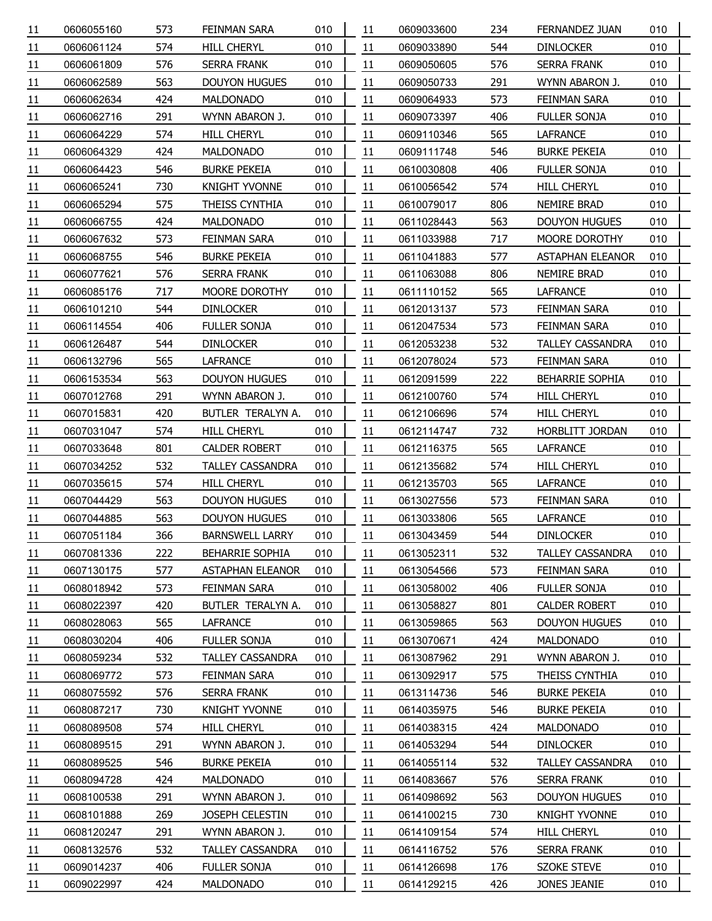| 11              | 0606055160 | 573 | FEINMAN SARA            | 010 | 11 | 0609033600 | 234 | FERNANDEZ JUAN          | 010 |
|-----------------|------------|-----|-------------------------|-----|----|------------|-----|-------------------------|-----|
| 11              | 0606061124 | 574 | <b>HILL CHERYL</b>      | 010 | 11 | 0609033890 | 544 | <b>DINLOCKER</b>        | 010 |
| 11              | 0606061809 | 576 | <b>SERRA FRANK</b>      | 010 | 11 | 0609050605 | 576 | <b>SERRA FRANK</b>      | 010 |
| 11              | 0606062589 | 563 | <b>DOUYON HUGUES</b>    | 010 | 11 | 0609050733 | 291 | WYNN ABARON J.          | 010 |
| 11              | 0606062634 | 424 | <b>MALDONADO</b>        | 010 | 11 | 0609064933 | 573 | FEINMAN SARA            | 010 |
| 11              | 0606062716 | 291 | WYNN ABARON J.          | 010 | 11 | 0609073397 | 406 | <b>FULLER SONJA</b>     | 010 |
| 11              | 0606064229 | 574 | <b>HILL CHERYL</b>      | 010 | 11 | 0609110346 | 565 | LAFRANCE                | 010 |
| 11              | 0606064329 | 424 | <b>MALDONADO</b>        | 010 | 11 | 0609111748 | 546 | <b>BURKE PEKEIA</b>     | 010 |
| 11              | 0606064423 | 546 | <b>BURKE PEKEIA</b>     | 010 | 11 | 0610030808 | 406 | FULLER SONJA            | 010 |
| 11              | 0606065241 | 730 | <b>KNIGHT YVONNE</b>    | 010 | 11 | 0610056542 | 574 | <b>HILL CHERYL</b>      | 010 |
| 11              | 0606065294 | 575 | THEISS CYNTHIA          | 010 | 11 | 0610079017 | 806 | NEMIRE BRAD             | 010 |
| 11              | 0606066755 | 424 | <b>MALDONADO</b>        | 010 | 11 | 0611028443 | 563 | <b>DOUYON HUGUES</b>    | 010 |
| 11              | 0606067632 | 573 | FEINMAN SARA            | 010 | 11 | 0611033988 | 717 | MOORE DOROTHY           | 010 |
| 11              | 0606068755 | 546 | <b>BURKE PEKEIA</b>     | 010 | 11 | 0611041883 | 577 | <b>ASTAPHAN ELEANOR</b> | 010 |
| 11              | 0606077621 | 576 | <b>SERRA FRANK</b>      | 010 | 11 | 0611063088 | 806 | NEMIRE BRAD             | 010 |
| 11              | 0606085176 | 717 | MOORE DOROTHY           | 010 | 11 | 0611110152 | 565 | <b>LAFRANCE</b>         | 010 |
| 11              | 0606101210 | 544 | <b>DINLOCKER</b>        | 010 | 11 | 0612013137 | 573 | FEINMAN SARA            | 010 |
| 11              | 0606114554 | 406 | <b>FULLER SONJA</b>     | 010 | 11 | 0612047534 | 573 | FEINMAN SARA            | 010 |
| 11              | 0606126487 | 544 | <b>DINLOCKER</b>        | 010 | 11 | 0612053238 | 532 | TALLEY CASSANDRA        | 010 |
| 11              | 0606132796 | 565 | <b>LAFRANCE</b>         | 010 | 11 | 0612078024 | 573 | FEINMAN SARA            | 010 |
| 11              | 0606153534 | 563 | <b>DOUYON HUGUES</b>    | 010 | 11 | 0612091599 | 222 | <b>BEHARRIE SOPHIA</b>  | 010 |
| 11              | 0607012768 | 291 | WYNN ABARON J.          | 010 | 11 | 0612100760 | 574 | <b>HILL CHERYL</b>      | 010 |
| 11              | 0607015831 | 420 | BUTLER TERALYN A.       | 010 | 11 | 0612106696 | 574 | <b>HILL CHERYL</b>      | 010 |
| 11              | 0607031047 | 574 | <b>HILL CHERYL</b>      | 010 | 11 | 0612114747 | 732 | HORBLITT JORDAN         | 010 |
| 11              | 0607033648 | 801 | <b>CALDER ROBERT</b>    | 010 | 11 | 0612116375 | 565 | LAFRANCE                | 010 |
| 11              | 0607034252 | 532 | <b>TALLEY CASSANDRA</b> | 010 | 11 | 0612135682 | 574 | <b>HILL CHERYL</b>      | 010 |
| 11              | 0607035615 | 574 | <b>HILL CHERYL</b>      | 010 | 11 | 0612135703 | 565 | LAFRANCE                | 010 |
| 11              | 0607044429 | 563 | <b>DOUYON HUGUES</b>    | 010 | 11 | 0613027556 | 573 | FEINMAN SARA            | 010 |
| 11              | 0607044885 | 563 | <b>DOUYON HUGUES</b>    | 010 | 11 | 0613033806 | 565 | <b>LAFRANCE</b>         | 010 |
| 11              | 0607051184 | 366 | <b>BARNSWELL LARRY</b>  | 010 | 11 | 0613043459 | 544 | <b>DINLOCKER</b>        | 010 |
| $\overline{11}$ | 0607081336 | 222 | BEHARRIE SOPHIA         | 010 | 11 | 0613052311 | 532 | <b>TALLEY CASSANDRA</b> | 010 |
| 11              | 0607130175 | 577 | <b>ASTAPHAN ELEANOR</b> | 010 | 11 | 0613054566 | 573 | FEINMAN SARA            | 010 |
| 11              | 0608018942 | 573 | FEINMAN SARA            | 010 | 11 | 0613058002 | 406 | FULLER SONJA            | 010 |
| 11              | 0608022397 | 420 | BUTLER TERALYN A.       | 010 | 11 | 0613058827 | 801 | <b>CALDER ROBERT</b>    | 010 |
| 11              | 0608028063 | 565 | <b>LAFRANCE</b>         | 010 | 11 | 0613059865 | 563 | <b>DOUYON HUGUES</b>    | 010 |
| 11              | 0608030204 | 406 | <b>FULLER SONJA</b>     | 010 | 11 | 0613070671 | 424 | <b>MALDONADO</b>        | 010 |
| 11              | 0608059234 | 532 | <b>TALLEY CASSANDRA</b> | 010 | 11 | 0613087962 | 291 | WYNN ABARON J.          | 010 |
| 11              | 0608069772 | 573 | FEINMAN SARA            | 010 | 11 | 0613092917 | 575 | THEISS CYNTHIA          | 010 |
| 11              | 0608075592 | 576 | SERRA FRANK             | 010 | 11 | 0613114736 | 546 | <b>BURKE PEKEIA</b>     | 010 |
| 11              | 0608087217 | 730 | <b>KNIGHT YVONNE</b>    | 010 | 11 | 0614035975 | 546 | <b>BURKE PEKEIA</b>     | 010 |
| 11              | 0608089508 | 574 | <b>HILL CHERYL</b>      | 010 | 11 | 0614038315 | 424 | MALDONADO               | 010 |
| 11              | 0608089515 | 291 | WYNN ABARON J.          | 010 | 11 | 0614053294 | 544 | <b>DINLOCKER</b>        | 010 |
| 11              | 0608089525 | 546 | <b>BURKE PEKEIA</b>     | 010 | 11 | 0614055114 | 532 | TALLEY CASSANDRA        | 010 |
| 11              | 0608094728 | 424 | <b>MALDONADO</b>        | 010 | 11 | 0614083667 | 576 | <b>SERRA FRANK</b>      | 010 |
| 11              | 0608100538 | 291 | WYNN ABARON J.          | 010 | 11 | 0614098692 | 563 | <b>DOUYON HUGUES</b>    | 010 |
| 11              | 0608101888 | 269 | JOSEPH CELESTIN         | 010 | 11 | 0614100215 | 730 | <b>KNIGHT YVONNE</b>    | 010 |
| 11              | 0608120247 | 291 | WYNN ABARON J.          | 010 | 11 | 0614109154 | 574 | <b>HILL CHERYL</b>      | 010 |
| 11              | 0608132576 | 532 | TALLEY CASSANDRA        | 010 | 11 | 0614116752 | 576 | <b>SERRA FRANK</b>      | 010 |
| 11              | 0609014237 | 406 | FULLER SONJA            | 010 | 11 | 0614126698 | 176 | <b>SZOKE STEVE</b>      | 010 |
| 11              | 0609022997 | 424 | <b>MALDONADO</b>        | 010 | 11 | 0614129215 | 426 | JONES JEANIE            | 010 |